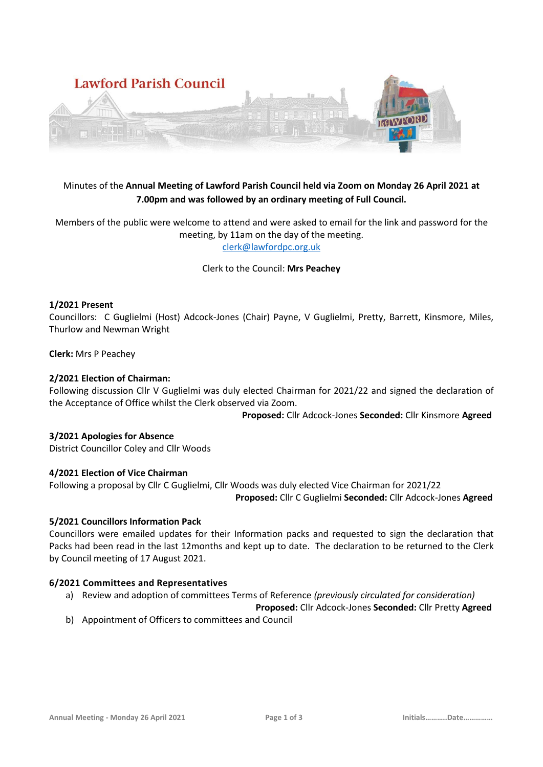

# Minutes of the **Annual Meeting of Lawford Parish Council held via Zoom on Monday 26 April 2021 at 7.00pm and was followed by an ordinary meeting of Full Council.**

Members of the public were welcome to attend and were asked to email for the link and password for the meeting, by 11am on the day of the meeting. [clerk@lawfordpc.org.uk](mailto:clerk@lawfordpc.org.uk)

Clerk to the Council: **Mrs Peachey**

# **1/2021 Present**

Councillors: C Guglielmi (Host) Adcock-Jones (Chair) Payne, V Guglielmi, Pretty, Barrett, Kinsmore, Miles, Thurlow and Newman Wright

**Clerk:** Mrs P Peachey

### **2/2021 Election of Chairman:**

Following discussion Cllr V Guglielmi was duly elected Chairman for 2021/22 and signed the declaration of the Acceptance of Office whilst the Clerk observed via Zoom.

 **Proposed:** Cllr Adcock-Jones **Seconded:** Cllr Kinsmore **Agreed** 

# **3/2021 Apologies for Absence**

District Councillor Coley and Cllr Woods

#### **4/2021 Election of Vice Chairman**

Following a proposal by Cllr C Guglielmi, Cllr Woods was duly elected Vice Chairman for 2021/22  **Proposed:** Cllr C Guglielmi **Seconded:** Cllr Adcock-Jones **Agreed** 

#### **5/2021 Councillors Information Pack**

Councillors were emailed updates for their Information packs and requested to sign the declaration that Packs had been read in the last 12months and kept up to date. The declaration to be returned to the Clerk by Council meeting of 17 August 2021.

# **6/2021 Committees and Representatives**

a) Review and adoption of committees Terms of Reference *(previously circulated for consideration)*

**Proposed:** Cllr Adcock-Jones **Seconded:** Cllr Pretty **Agreed** 

b) Appointment of Officers to committees and Council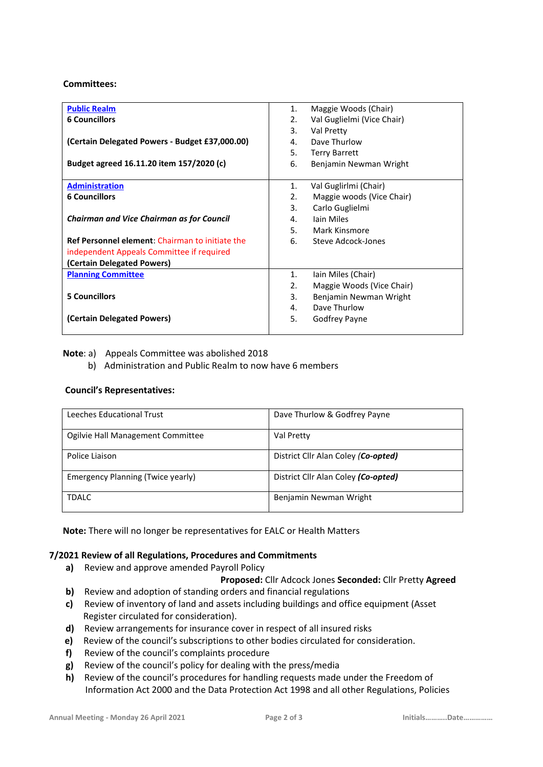#### **Committees:**

| <b>Public Realm</b>                                    | 1. | Maggie Woods (Chair)       |
|--------------------------------------------------------|----|----------------------------|
| <b>6 Councillors</b>                                   | 2. | Val Guglielmi (Vice Chair) |
|                                                        | 3. | Val Pretty                 |
| (Certain Delegated Powers - Budget £37,000.00)         | 4. | Dave Thurlow               |
|                                                        | 5. | <b>Terry Barrett</b>       |
| Budget agreed 16.11.20 item 157/2020 (c)               | 6. | Benjamin Newman Wright     |
|                                                        |    |                            |
| <b>Administration</b>                                  | 1. | Val Guglirlmi (Chair)      |
| <b>6 Councillors</b>                                   | 2. | Maggie woods (Vice Chair)  |
|                                                        | 3. | Carlo Guglielmi            |
| <b>Chairman and Vice Chairman as for Council</b>       | 4. | <b>lain Miles</b>          |
|                                                        | 5. | Mark Kinsmore              |
| <b>Ref Personnel element:</b> Chairman to initiate the | 6. | Steve Adcock-Jones         |
| independent Appeals Committee if required              |    |                            |
| (Certain Delegated Powers)                             |    |                            |
| <b>Planning Committee</b>                              | 1. | lain Miles (Chair)         |
|                                                        | 2. | Maggie Woods (Vice Chair)  |
| <b>5 Councillors</b>                                   | 3. | Benjamin Newman Wright     |
|                                                        | 4. | Dave Thurlow               |
| (Certain Delegated Powers)                             | 5. | Godfrey Payne              |
|                                                        |    |                            |

# **Note**: a) Appeals Committee was abolished 2018

b) Administration and Public Realm to now have 6 members

# **Council's Representatives:**

| Leeches Educational Trust         | Dave Thurlow & Godfrey Payne        |
|-----------------------------------|-------------------------------------|
| Ogilvie Hall Management Committee | Val Pretty                          |
| Police Liaison                    | District Cllr Alan Coley (Co-opted) |
| Emergency Planning (Twice yearly) | District Cllr Alan Coley (Co-opted) |
| <b>TDALC</b>                      | Benjamin Newman Wright              |

**Note:** There will no longer be representatives for EALC or Health Matters

# **7/2021 Review of all Regulations, Procedures and Commitments**

**a)** Review and approve amended Payroll Policy

# **Proposed:** Cllr Adcock Jones **Seconded:** Cllr Pretty **Agreed**

- **b)** Review and adoption of standing orders and financial regulations
- **c)** Review of inventory of land and assets including buildings and office equipment (Asset Register circulated for consideration).
- **d)** Review arrangements for insurance cover in respect of all insured risks
- **e)** Review of the council's subscriptions to other bodies circulated for consideration.
- **f)** Review of the council's complaints procedure
- **g)** Review of the council's policy for dealing with the press/media
- **h)** Review of the council's procedures for handling requests made under the Freedom of Information Act 2000 and the Data Protection Act 1998 and all other Regulations, Policies